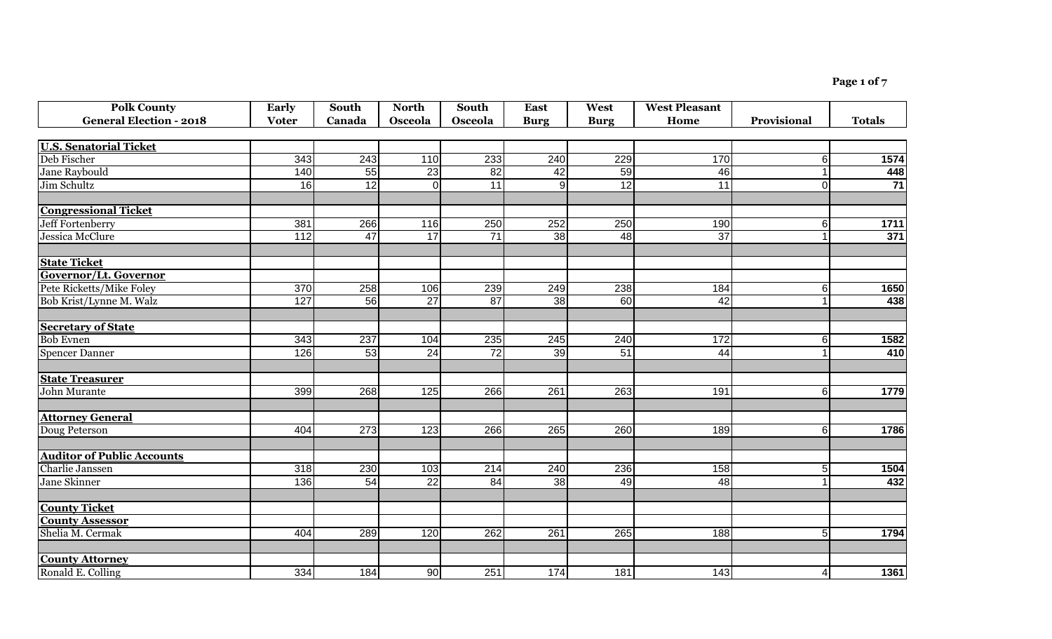**Page 1 of 7**

| <b>Polk County</b>                | Early            | South           | <b>North</b>    | <b>South</b>    | <b>East</b>     | West        | <b>West Pleasant</b> |                 |                 |
|-----------------------------------|------------------|-----------------|-----------------|-----------------|-----------------|-------------|----------------------|-----------------|-----------------|
| <b>General Election - 2018</b>    | <b>Voter</b>     | Canada          | Osceola         | Osceola         | <b>Burg</b>     | <b>Burg</b> | Home                 | Provisional     | <b>Totals</b>   |
|                                   |                  |                 |                 |                 |                 |             |                      |                 |                 |
| <b>U.S. Senatorial Ticket</b>     |                  |                 |                 |                 |                 |             |                      |                 |                 |
| Deb Fischer                       | 343              | 243             | 110             | 233             | 240             | 229         | 170                  | 6               | 1574            |
| Jane Raybould                     | 140              | 55              | 23              | $\overline{82}$ | 42              | 59          | 46                   |                 | 448             |
| Jim Schultz                       | 16               | 12              | $\overline{0}$  | 11              | $\overline{9}$  | 12          | 11                   | 0               | $\overline{71}$ |
| <b>Congressional Ticket</b>       |                  |                 |                 |                 |                 |             |                      |                 |                 |
| <b>Jeff Fortenberry</b>           | 381              | 266             | 116             | 250             | 252             | 250         | 190                  | 6               | 1711            |
| Jessica McClure                   | $\overline{112}$ | 47              | $\overline{17}$ | $\overline{71}$ | 38              | 48          | $\overline{37}$      |                 | 371             |
| <b>State Ticket</b>               |                  |                 |                 |                 |                 |             |                      |                 |                 |
| Governor/Lt. Governor             |                  |                 |                 |                 |                 |             |                      |                 |                 |
| Pete Ricketts/Mike Foley          | 370              | 258             | 106             | 239             | 249             | 238         | 184                  | $6 \mid$        | 1650            |
| Bob Krist/Lynne M. Walz           | 127              | 56              | $\overline{27}$ | 87              | $\overline{38}$ | 60          | 42                   |                 | 438             |
| <b>Secretary of State</b>         |                  |                 |                 |                 |                 |             |                      |                 |                 |
| <b>Bob Evnen</b>                  | $343$            | 237             | 104             | 235             | 245             | 240         | 172                  | 6               | 1582            |
| <b>Spencer Danner</b>             | 126              | $\overline{53}$ | $\overline{24}$ | 72              | 39              | 51          | 44                   |                 | 410             |
| <b>State Treasurer</b>            |                  |                 |                 |                 |                 |             |                      |                 |                 |
| <b>John Murante</b>               | 399              | 268             | 125             | 266             | 261             | 263         | 191                  | 6               | 1779            |
| <b>Attorney General</b>           |                  |                 |                 |                 |                 |             |                      |                 |                 |
| Doug Peterson                     | 404              | 273             | 123             | 266             | 265             | 260         | 189                  | $6 \mid$        | 1786            |
| <b>Auditor of Public Accounts</b> |                  |                 |                 |                 |                 |             |                      |                 |                 |
| Charlie Janssen                   | $\overline{318}$ | 230             | 103             | 214             | 240             | 236         | 158                  | 5 <sup>1</sup>  | 1504            |
| <b>Jane Skinner</b>               | 136              | 54              | $\overline{22}$ | 84              | 38              | 49          | 48                   |                 | 432             |
| <b>County Ticket</b>              |                  |                 |                 |                 |                 |             |                      |                 |                 |
| <b>County Assessor</b>            |                  |                 |                 |                 |                 |             |                      |                 |                 |
| Shelia M. Cermak                  | 404              | 289             | 120             | 262             | 261             | 265         | 188                  | 5 <sub>l</sub>  | 1794            |
| <b>County Attorney</b>            |                  |                 |                 |                 |                 |             |                      |                 |                 |
| Ronald E. Colling                 | 334              | 184             | 90              | 251             | 174             | 181         | 143                  | $\vert 4 \vert$ | 1361            |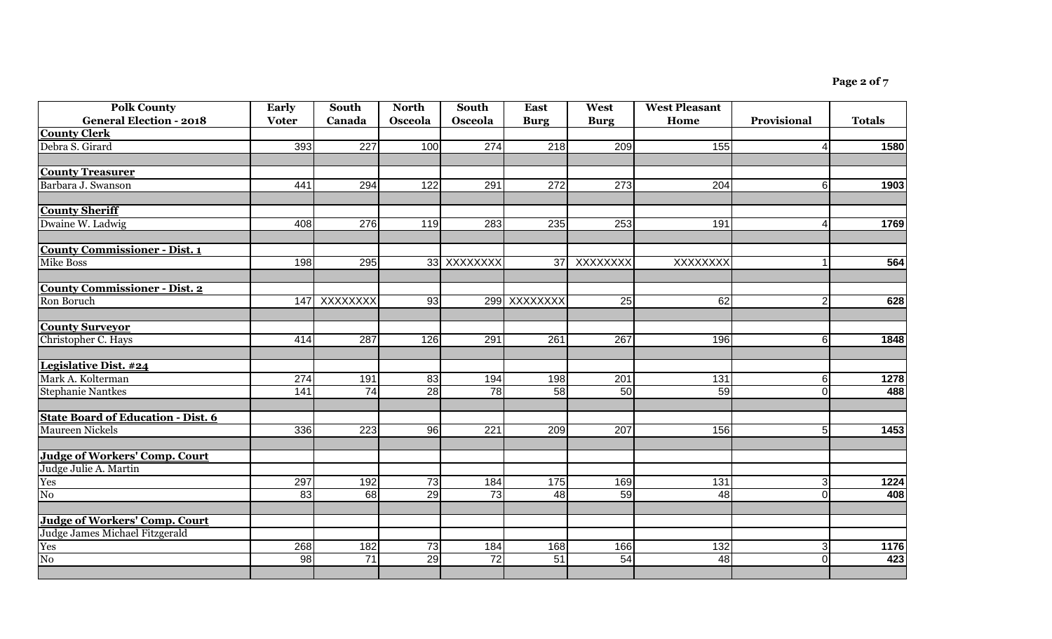| <b>Polk County</b>                            | Early        | South        | <b>North</b>     | South            | <b>East</b>  | West        | <b>West Pleasant</b> |                |               |
|-----------------------------------------------|--------------|--------------|------------------|------------------|--------------|-------------|----------------------|----------------|---------------|
| <b>General Election - 2018</b>                | <b>Voter</b> | Canada       | Osceola          | Osceola          | <b>Burg</b>  | <b>Burg</b> | Home                 | Provisional    | <b>Totals</b> |
| <b>County Clerk</b>                           |              |              |                  |                  |              |             |                      |                |               |
| Debra S. Girard                               | 393          | 227          | 100              | 274              | 218          | 209         | 155                  | Δ              | 1580          |
|                                               |              |              |                  |                  |              |             |                      |                |               |
| <b>County Treasurer</b><br>Barbara J. Swanson | 441          | 294          | $\overline{122}$ | 291              | 272          | 273         | $\overline{204}$     |                |               |
|                                               |              |              |                  |                  |              |             |                      | 6              | 1903          |
| <b>County Sheriff</b>                         |              |              |                  |                  |              |             |                      |                |               |
| Dwaine W. Ladwig                              | 408          | 276          | 119              | 283              | 235          | 253         | 191                  | Δ              | 1769          |
| <b>County Commissioner - Dist. 1</b>          |              |              |                  |                  |              |             |                      |                |               |
| Mike Boss                                     | 198          | 295          |                  | 33 XXXXXXX       | 37           | XXXXXXX     | XXXXXXX              |                | 564           |
| <b>County Commissioner - Dist. 2</b>          |              |              |                  |                  |              |             |                      |                |               |
| Ron Boruch                                    |              | 147 XXXXXXXX | 93               |                  | 299 XXXXXXXX | 25          | 62                   | $\overline{2}$ | 628           |
| <b>County Surveyor</b>                        |              |              |                  |                  |              |             |                      |                |               |
| Christopher C. Hays                           | 414          | 287          | 126              | 291              | 261          | 267         | 196                  | 6              | 1848          |
| Legislative Dist. #24                         |              |              |                  |                  |              |             |                      |                |               |
| Mark A. Kolterman                             | 274          | 191          | 83               | 194              | 198          | 201         | 131                  | 6              | 1278          |
| <b>Stephanie Nantkes</b>                      | 141          | 74           | 28               | 78               | 58           | 50          | 59                   | $\Omega$       | 488           |
| <b>State Board of Education - Dist. 6</b>     |              |              |                  |                  |              |             |                      |                |               |
| <b>Maureen Nickels</b>                        | 336          | 223          | 96               | $\overline{221}$ | 209          | 207         | 156                  | 5              | 1453          |
| <b>Judge of Workers' Comp. Court</b>          |              |              |                  |                  |              |             |                      |                |               |
| Judge Julie A. Martin                         |              |              |                  |                  |              |             |                      |                |               |
| Yes                                           | 297          | 192          | 73               | 184              | 175          | 169         | 131                  | 3              | 1224          |
| $\overline{N_0}$                              | 83           | 68           | 29               | 73               | 48           | 59          | 48                   | 0              | 408           |
| <b>Judge of Workers' Comp. Court</b>          |              |              |                  |                  |              |             |                      |                |               |
| Judge James Michael Fitzgerald                |              |              |                  |                  |              |             |                      |                |               |
| Yes                                           | 268          | 182          | 73               | 184              | 168          | 166         | $\overline{132}$     | 3              | 1176          |
| $\overline{No}$                               | 98           | 71           | 29               | $\overline{72}$  | 51           | 54          | 48                   | $\Omega$       | 423           |
|                                               |              |              |                  |                  |              |             |                      |                |               |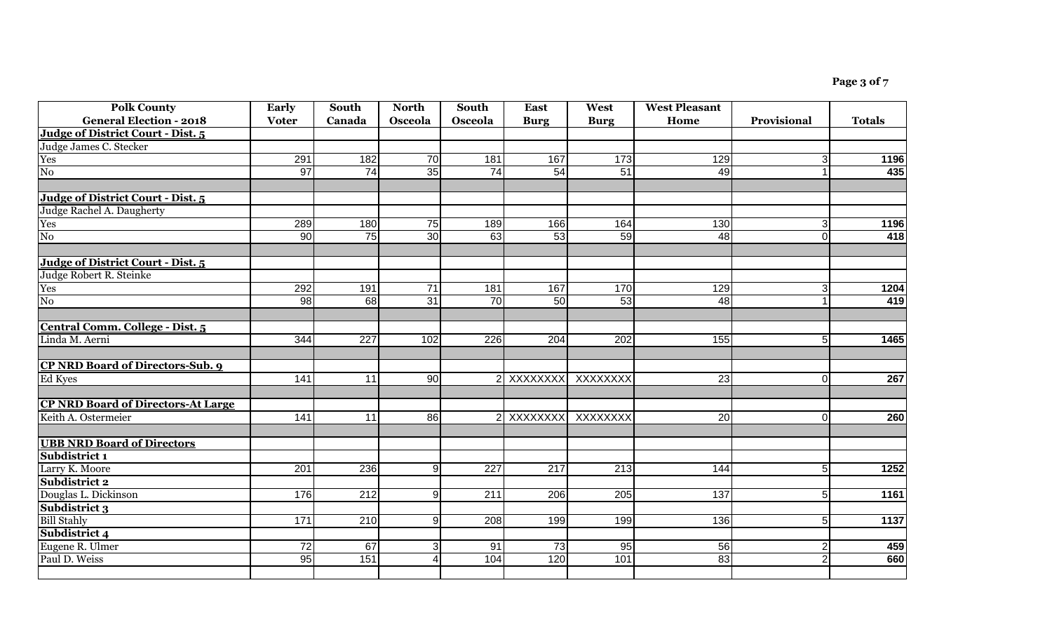| <b>Polk County</b><br><b>General Election - 2018</b> | Early<br><b>Voter</b> | South<br>Canada  | <b>North</b><br>Osceola | South<br>Osceola | <b>East</b><br><b>Burg</b> | West<br><b>Burg</b> | <b>West Pleasant</b><br>Home | Provisional    | <b>Totals</b> |
|------------------------------------------------------|-----------------------|------------------|-------------------------|------------------|----------------------------|---------------------|------------------------------|----------------|---------------|
| Judge of District Court - Dist. 5                    |                       |                  |                         |                  |                            |                     |                              |                |               |
| Judge James C. Stecker                               |                       |                  |                         |                  |                            |                     |                              |                |               |
| Yes                                                  | 291                   | 182              | 70                      | 181              | 167                        | $\overline{173}$    | 129                          | $\overline{3}$ | 1196          |
| $\overline{No}$                                      | $\overline{97}$       | 74               | 35                      | 74               | 54                         | 51                  | 49                           | $\mathbf 1$    | 435           |
|                                                      |                       |                  |                         |                  |                            |                     |                              |                |               |
| Judge of District Court - Dist. 5                    |                       |                  |                         |                  |                            |                     |                              |                |               |
| Judge Rachel A. Daugherty                            |                       |                  |                         |                  |                            |                     |                              |                |               |
| Yes                                                  | 289                   | 180              | 75                      | 189              | 166                        | 164                 | 130                          | 3              | 1196          |
| $\overline{N_0}$                                     | 90                    | 75               | 30 <sup>1</sup>         | 63               | 53                         | 59                  | 48                           | $\overline{0}$ | 418           |
|                                                      |                       |                  |                         |                  |                            |                     |                              |                |               |
| Judge of District Court - Dist. 5                    |                       |                  |                         |                  |                            |                     |                              |                |               |
| Judge Robert R. Steinke                              |                       |                  |                         |                  |                            |                     |                              |                |               |
| Yes                                                  | 292                   | 191              | $\overline{71}$         | 181              | 167                        | 170                 | 129                          | 3              | 1204          |
| $\overline{N_0}$                                     | 98                    | 68               | 31                      | $\overline{70}$  | 50                         | $\overline{53}$     | 48                           |                | 419           |
|                                                      |                       |                  |                         |                  |                            |                     |                              |                |               |
| Central Comm. College - Dist. 5                      |                       |                  |                         |                  |                            |                     |                              |                |               |
| Linda M. Aerni                                       | 344                   | $\overline{227}$ | 102                     | 226              | 204                        | 202                 | 155                          | 5 <sup>1</sup> | 1465          |
|                                                      |                       |                  |                         |                  |                            |                     |                              |                |               |
| <b>CP NRD Board of Directors-Sub. 9</b>              |                       |                  |                         |                  |                            |                     |                              |                |               |
| Ed Kyes                                              | 141                   | 11               | 90 <sub>o</sub>         |                  |                            | 2 XXXXXXXX XXXXXXX  | 23                           | 0              | 267           |
|                                                      |                       |                  |                         |                  |                            |                     |                              |                |               |
| <b>CP NRD Board of Directors-At Large</b>            |                       |                  |                         |                  |                            |                     |                              |                |               |
| Keith A. Ostermeier                                  | 141                   | 11               | 86                      |                  | 2 XXXXXXXX                 | XXXXXXX             | $\overline{20}$              | 0              | 260           |
|                                                      |                       |                  |                         |                  |                            |                     |                              |                |               |
| <b>UBB NRD Board of Directors</b>                    |                       |                  |                         |                  |                            |                     |                              |                |               |
| Subdistrict 1                                        |                       |                  |                         |                  |                            |                     |                              |                |               |
| Larry K. Moore                                       | 201                   | 236              | $\overline{9}$          | 227              | $\overline{217}$           | $\overline{213}$    | 144                          | 5 <sup>1</sup> | 1252          |
| Subdistrict 2                                        |                       |                  |                         |                  |                            |                     |                              |                |               |
| Douglas L. Dickinson                                 | 176                   | 212              | 9 <sub>l</sub>          | 211              | 206                        | 205                 | 137                          | 5 <sup>1</sup> | 1161          |
| Subdistrict 3                                        |                       |                  |                         |                  |                            |                     |                              |                |               |
| <b>Bill Stahly</b>                                   | 171                   | 210              | 9 <sub>l</sub>          | 208              | 199                        | 199                 | 136                          | 5 <sup>1</sup> | 1137          |
| Subdistrict 4                                        |                       |                  |                         |                  |                            |                     |                              |                |               |
| Eugene R. Ulmer                                      | $\overline{72}$       | 67               | $\overline{3}$          | 91               | 73                         | $\overline{95}$     | 56                           | $\overline{2}$ | 459           |
| Paul D. Weiss                                        | 95                    | 151              | $\overline{4}$          | 104              | 120                        | 101                 | 83                           | $\overline{2}$ | 660           |
|                                                      |                       |                  |                         |                  |                            |                     |                              |                |               |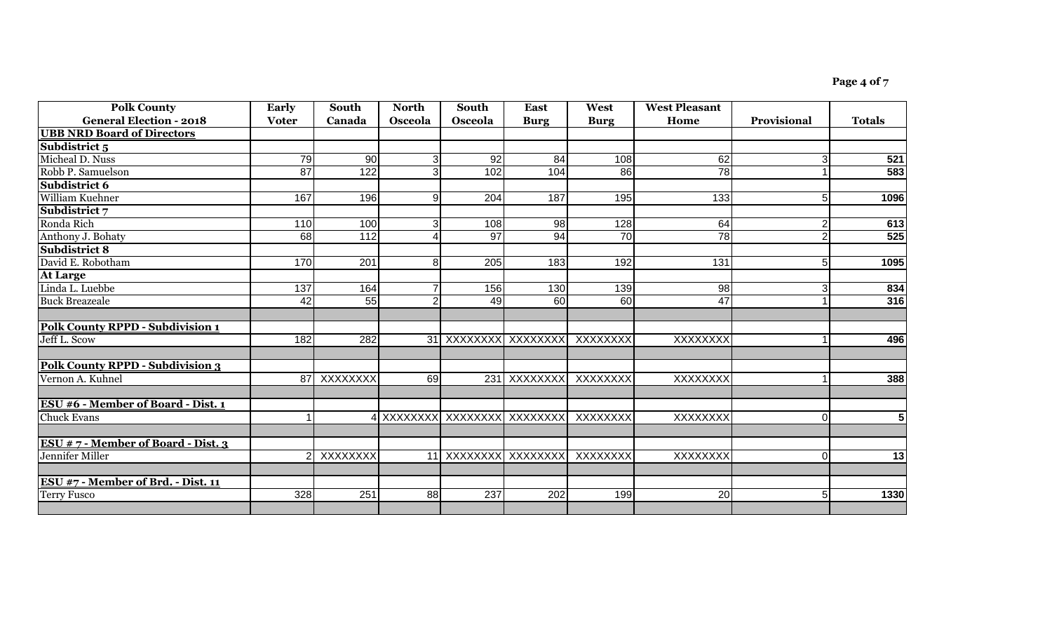| <b>Polk County</b>                        | Early        | South            | <b>North</b>   | South                         | <b>East</b>  | West            | <b>West Pleasant</b> |                |                 |
|-------------------------------------------|--------------|------------------|----------------|-------------------------------|--------------|-----------------|----------------------|----------------|-----------------|
| <b>General Election - 2018</b>            | <b>Voter</b> | Canada           | Osceola        | <b>Osceola</b>                | <b>Burg</b>  | <b>Burg</b>     | Home                 | Provisional    | <b>Totals</b>   |
| <b>UBB NRD Board of Directors</b>         |              |                  |                |                               |              |                 |                      |                |                 |
| Subdistrict 5                             |              |                  |                |                               |              |                 |                      |                |                 |
| Micheal D. Nuss                           | 79           | 90               | 3              | 92                            | 84           | 108             | 62                   | 3              | 521             |
| Robb P. Samuelson                         | 87           | $\overline{122}$ | $\overline{3}$ | 102                           | 104          | 86              | 78                   |                | 583             |
| Subdistrict 6                             |              |                  |                |                               |              |                 |                      |                |                 |
| William Kuehner                           | 167          | 196              | 9              | 204                           | 187          | 195             | 133                  | 5              | 1096            |
| Subdistrict 7                             |              |                  |                |                               |              |                 |                      |                |                 |
| Ronda Rich                                | 110          | 100              | 3              | 108                           | 98           | 128             | 64                   | 2              | 613             |
| Anthony J. Bohaty                         | 68           | 112              | Δ              | $\overline{97}$               | 94           | $\overline{70}$ | $\overline{78}$      | $\overline{2}$ | 525             |
| <b>Subdistrict 8</b>                      |              |                  |                |                               |              |                 |                      |                |                 |
| David E. Robotham                         | 170          | 201              | 8              | 205                           | 183          | 192             | 131                  | 5              | 1095            |
| <b>At Large</b>                           |              |                  |                |                               |              |                 |                      |                |                 |
| Linda L. Luebbe                           | 137          | 164              |                | 156                           | 130          | 139             | 98                   | 3              | 834             |
| <b>Buck Breazeale</b>                     | 42           | 55               | $\overline{2}$ | 49                            | 60           | 60              | 47                   |                | 316             |
|                                           |              |                  |                |                               |              |                 |                      |                |                 |
| <b>Polk County RPPD - Subdivision 1</b>   |              |                  |                |                               |              |                 |                      |                |                 |
| Jeff L. Scow                              | 182          | 282              |                | 31 XXXXXXXX XXXXXXXX          |              | XXXXXXXX        | <b>XXXXXXXX</b>      |                | 496             |
|                                           |              |                  |                |                               |              |                 |                      |                |                 |
| <b>Polk County RPPD - Subdivision 3</b>   |              |                  |                |                               |              |                 |                      |                |                 |
| Vernon A. Kuhnel                          |              | 87 XXXXXXXX      | 69             |                               | 231 XXXXXXXX | XXXXXXXX        | <b>XXXXXXXX</b>      | -1             | 388             |
|                                           |              |                  |                |                               |              |                 |                      |                |                 |
| <b>ESU #6 - Member of Board - Dist. 1</b> |              |                  |                |                               |              |                 |                      |                |                 |
| <b>Chuck Evans</b>                        |              |                  |                | 4 XXXXXXXX XXXXXXXXX XXXXXXXX |              | XXXXXXXX        | XXXXXXXX             | $\Omega$       | 5               |
|                                           |              |                  |                |                               |              |                 |                      |                |                 |
| ESU $# 7$ - Member of Board - Dist. 3     |              |                  |                |                               |              |                 |                      |                |                 |
| Jennifer Miller                           |              | XXXXXXXX         | 11             | xxxxxxxx  xxxxxxxx            |              | XXXXXXXX        | XXXXXXXX             | $\Omega$       | $\overline{13}$ |
|                                           |              |                  |                |                               |              |                 |                      |                |                 |
| ESU #7 - Member of Brd. - Dist. 11        |              |                  |                |                               |              |                 |                      |                |                 |
| <b>Terry Fusco</b>                        | 328          | 251              | 88             | 237                           | 202          | 199             | 20                   | 5              | 1330            |
|                                           |              |                  |                |                               |              |                 |                      |                |                 |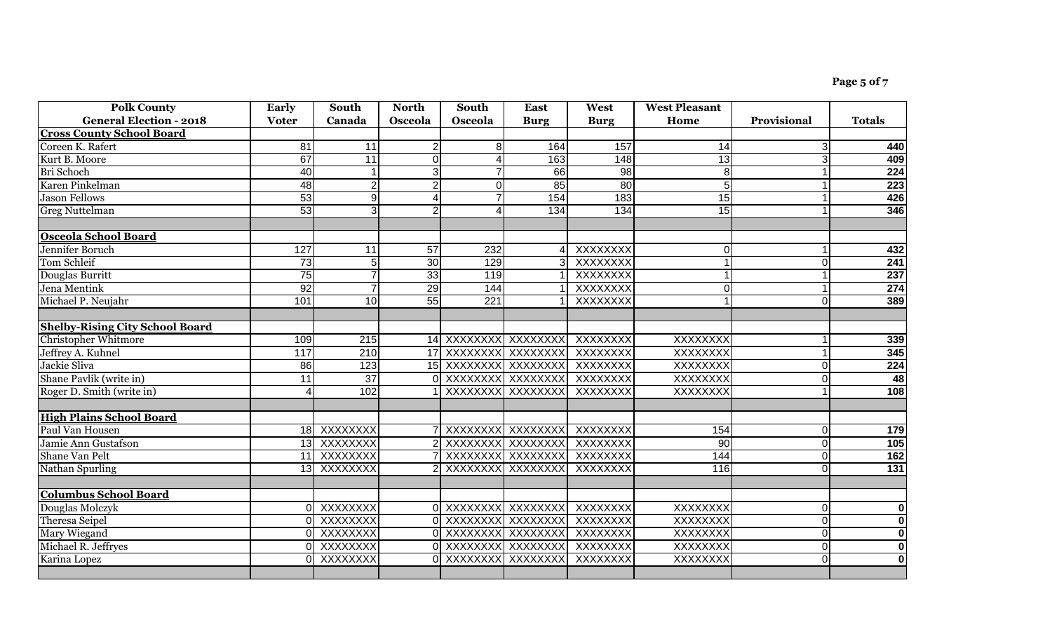| <b>Polk County</b>                     | <b>Early</b> | South           | <b>North</b>   | South                    | <b>East</b> | West        | <b>West Pleasant</b> |                |                         |
|----------------------------------------|--------------|-----------------|----------------|--------------------------|-------------|-------------|----------------------|----------------|-------------------------|
| <b>General Election - 2018</b>         | <b>Voter</b> | Canada          | Osceola        | Osceola                  | <b>Burg</b> | <b>Burg</b> | Home                 | Provisional    | <b>Totals</b>           |
| <b>Cross County School Board</b>       |              |                 |                |                          |             |             |                      |                |                         |
| Coreen K. Rafert                       | 81           | $\overline{11}$ | $\overline{2}$ | 8                        | 164         | 157         | 14                   | 3              | 440                     |
| Kurt B. Moore                          | 67           | 11              | $\overline{0}$ |                          | 163         | 148         | 13                   | 3              | 409                     |
| Bri Schoch                             | 40           |                 | $\overline{3}$ |                          | 66          | 98          | $\overline{8}$       |                | 224                     |
| Karen Pinkelman                        | 48           | $\overline{2}$  | $\overline{2}$ | $\Omega$                 | 85          | 80          | 5 <sub>5</sub>       |                | 223                     |
| <b>Jason Fellows</b>                   | 53           | $\overline{9}$  | $\overline{4}$ | $\overline{7}$           | 154         | 183         | 15                   |                | 426                     |
| <b>Greg Nuttelman</b>                  | 53           | 3 <sup>l</sup>  | $\overline{2}$ | $\boldsymbol{\varDelta}$ | 134         | 134         | 15                   |                | 346                     |
|                                        |              |                 |                |                          |             |             |                      |                |                         |
| <b>Osceola School Board</b>            |              |                 |                |                          |             |             |                      |                |                         |
| Jennifer Boruch                        | 127          | 11              | 57             | 232                      |             | XXXXXXX     | $\Omega$             |                | 432                     |
| Tom Schleif                            | 73           | 5 <sup>5</sup>  | 30             | 129                      |             | XXXXXXXX    |                      | $\Omega$       | 241                     |
| Douglas Burritt                        | 75           |                 | 33             | 119                      |             | XXXXXXX     |                      |                | 237                     |
| Jena Mentink                           | 92           |                 | 29             | 144                      |             | XXXXXXX     | $\Omega$             |                | 274                     |
| Michael P. Neujahr                     | 101          | 10              | 55             | 221                      |             | XXXXXXX     |                      | 0              | 389                     |
|                                        |              |                 |                |                          |             |             |                      |                |                         |
| <b>Shelby-Rising City School Board</b> |              |                 |                |                          |             |             |                      |                |                         |
| <b>Christopher Whitmore</b>            | 109          | $\frac{1}{215}$ |                | 14 XXXXXXXX XXXXXXX      |             | XXXXXXXX    | XXXXXXX              |                | 339                     |
| Jeffrey A. Kuhnel                      | 117          | 210             |                | 17 XXXXXXXX XXXXXXXX     |             | XXXXXXX     | XXXXXXX              |                | 345                     |
| Jackie Sliva                           | 86           | 123             |                | 15 XXXXXXXX XXXXXXX      |             | XXXXXXX     | <b>XXXXXXXX</b>      | $\Omega$       | $\frac{224}{48}$        |
| Shane Pavlik (write in)                | 11           | $\overline{37}$ |                | 0 XXXXXXXX XXXXXXXX      |             | XXXXXXX     | <b>XXXXXXXX</b>      | $\Omega$       |                         |
| Roger D. Smith (write in)              |              | 102             |                | XXXXXXXX XXXXXXX         |             | XXXXXXXX    | <b>XXXXXXXX</b>      |                | 108                     |
|                                        |              |                 |                |                          |             |             |                      |                |                         |
| <b>High Plains School Board</b>        |              |                 |                |                          |             |             |                      |                |                         |
| Paul Van Housen                        |              | 18 XXXXXXXX     |                | 7 XXXXXXXX XXXXXXXX      |             | XXXXXXX     | 154                  | 0              | 179                     |
| Jamie Ann Gustafson                    |              | 13 XXXXXXXX     |                | 2 XXXXXXXX XXXXXXXX      |             | XXXXXXX     | 90                   | $\overline{0}$ | 105                     |
| <b>Shane Van Pelt</b>                  |              | 11 XXXXXXXX     |                | XXXXXXXX XXXXXXX         |             | XXXXXXX     | 144                  | $\mathbf 0$    | 162                     |
| Nathan Spurling                        |              | 13 XXXXXXXX     |                | XXXXXXXX XXXXXXX         |             | XXXXXXXX    | 116                  | $\overline{0}$ | $\overline{131}$        |
|                                        |              |                 |                |                          |             |             |                      |                |                         |
| <b>Columbus School Board</b>           |              |                 |                |                          |             |             |                      |                |                         |
| Douglas Molczyk                        |              | 0 XXXXXXXX      |                | 0 XXXXXXXX XXXXXXXX      |             | XXXXXXX     | <b>XXXXXXXX</b>      | 0              | $\overline{\mathbf{0}}$ |
| Theresa Seipel                         |              | 0 XXXXXXXX      |                | 0 XXXXXXXX XXXXXXXX      |             | XXXXXXX     | <b>XXXXXXXX</b>      | $\Omega$       | $\overline{\mathbf{0}}$ |
| <b>Mary Wiegand</b>                    |              | 0 XXXXXXXX      |                | 0 XXXXXXXX XXXXXXXX      |             | XXXXXXX     | XXXXXXX              | 0              | $\overline{\mathbf{0}}$ |
| Michael R. Jeffryes                    |              | 0 XXXXXXXX      |                | 0 XXXXXXXX XXXXXXXX      |             | XXXXXXX     | XXXXXXX              | $\Omega$       | $\overline{\mathbf{0}}$ |
| Karina Lopez                           | ΩL           | XXXXXXX         |                | 0 XXXXXXXX               | XXXXXXX     | XXXXXXX     | <b>XXXXXXXX</b>      | 0              | $\overline{\mathbf{0}}$ |
|                                        |              |                 |                |                          |             |             |                      |                |                         |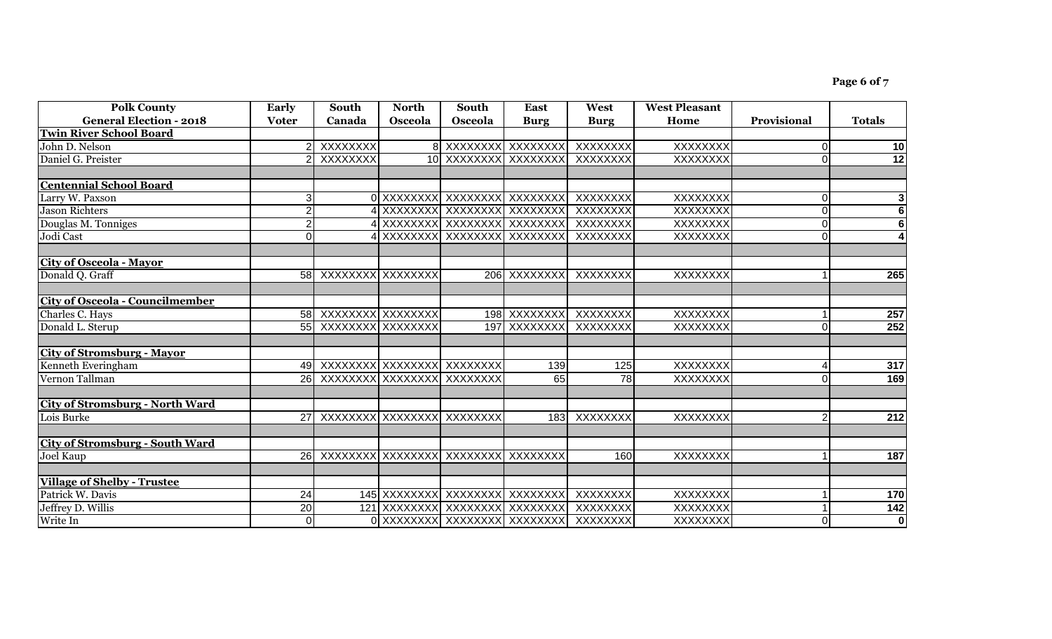| <b>Polk County</b>                     | Early           | South                | <b>North</b> | South                                    | East                         | West         | <b>West Pleasant</b> |                    |                         |
|----------------------------------------|-----------------|----------------------|--------------|------------------------------------------|------------------------------|--------------|----------------------|--------------------|-------------------------|
| <b>General Election - 2018</b>         | <b>Voter</b>    | Canada               | Osceola      | Osceola                                  | <b>Burg</b>                  | <b>Burg</b>  | Home                 | <b>Provisional</b> | <b>Totals</b>           |
| <b>Twin River School Board</b>         |                 |                      |              |                                          |                              |              |                      |                    |                         |
| John D. Nelson                         |                 | XXXXXXX              |              | 8 XXXXXXXX XXXXXXXX                      |                              | XXXXXXX      | <b>XXXXXXXX</b>      | 0                  | 10                      |
| Daniel G. Preister                     |                 | <b>XXXXXXXX</b>      |              |                                          | 10 XXXXXXXX XXXXXXXX         | XXXXXXX      | <b>XXXXXXXX</b>      | $\Omega$           | 12                      |
|                                        |                 |                      |              |                                          |                              |              |                      |                    |                         |
| <b>Centennial School Board</b>         |                 |                      |              |                                          |                              |              |                      |                    |                         |
| Larry W. Paxson                        | 3               |                      |              | 0 XXXXXXXX XXXXXXXX XXXXXXXX             |                              | XXXXXXX      | <b>XXXXXXXX</b>      | $\Omega$           | 3                       |
| <b>Jason Richters</b>                  |                 |                      |              | 4 XXXXXXXX XXXXXXXXX XXXXXXXX            |                              | XXXXXXX      | <b>XXXXXXXX</b>      | $\Omega$           | 6                       |
| Douglas M. Tonniges                    |                 |                      |              | XXXXXXXX XXXXXXXXX XXXXXXX               |                              | XXXXXXX      | <b>XXXXXXXX</b>      | $\Omega$           | $6\phantom{1}$          |
| Jodi Cast                              | $\Omega$        |                      |              | XXXXXXXX XXXXXXXXX XXXXXXXX              |                              | XXXXXXXX     | XXXXXXXX             | $\Omega$           |                         |
| <b>City of Osceola - Mayor</b>         |                 |                      |              |                                          |                              |              |                      |                    |                         |
| Donald Q. Graff                        |                 | 58 XXXXXXXX XXXXXXXX |              |                                          | 206 XXXXXXX                  | XXXXXXXX     | XXXXXXXX             |                    | 265                     |
|                                        |                 |                      |              |                                          |                              |              |                      |                    |                         |
| <b>City of Osceola - Councilmember</b> |                 |                      |              |                                          |                              |              |                      |                    |                         |
| Charles C. Hays                        |                 | 58 XXXXXXXX XXXXXXXX |              |                                          | 198 XXXXXXX                  | XXXXXXX      | XXXXXXXX             |                    | 257                     |
| Donald L. Sterup                       |                 | 55 XXXXXXXX XXXXXXXX |              |                                          | 197 XXXXXXXX                 | XXXXXXXX     | XXXXXXXX             | $\Omega$           | 252                     |
|                                        |                 |                      |              |                                          |                              |              |                      |                    |                         |
| <b>City of Stromsburg - Mayor</b>      |                 |                      |              |                                          |                              |              |                      |                    |                         |
| Kenneth Everingham                     | 49              | XXXXXXXX XXXXXXXX    |              | XXXXXXXX                                 | 139                          | 125          | <b>XXXXXXXX</b>      | Δ                  | 317                     |
| Vernon Tallman                         |                 | 26 XXXXXXXX XXXXXXXX |              | XXXXXXXX                                 | 65                           | 78           | XXXXXXXX             | $\Omega$           | 169                     |
| <b>City of Stromsburg - North Ward</b> |                 |                      |              |                                          |                              |              |                      |                    |                         |
| Lois Burke                             |                 | 27 XXXXXXXX XXXXXXXX |              | XXXXXXX                                  |                              | 183 XXXXXXXX | <b>XXXXXXXX</b>      | $\overline{2}$     | 212                     |
|                                        |                 |                      |              |                                          |                              |              |                      |                    |                         |
| <b>City of Stromsburg - South Ward</b> |                 |                      |              |                                          |                              |              |                      |                    |                         |
| Joel Kaup                              |                 |                      |              | 26 XXXXXXXX XXXXXXXXXX XXXXXXXXX XXXXXXX |                              | 160          | <b>XXXXXXXX</b>      |                    | 187                     |
|                                        |                 |                      |              |                                          |                              |              |                      |                    |                         |
| <b>Village of Shelby - Trustee</b>     |                 |                      |              |                                          |                              |              |                      |                    |                         |
| Patrick W. Davis                       | $\overline{24}$ |                      |              | 145 XXXXXXXX XXXXXXXXX XXXXXXXX          |                              | XXXXXXXX     | <b>XXXXXXXX</b>      |                    | 170                     |
| Jeffrey D. Willis                      | $\overline{20}$ |                      |              | 121 XXXXXXXX XXXXXXXXX XXXXXXXX          |                              | XXXXXXXX     | <b>XXXXXXXX</b>      |                    | $142$                   |
| Write In                               | $\overline{0}$  |                      |              |                                          | 0 XXXXXXXX XXXXXXXX XXXXXXXX | XXXXXXX      | <b>XXXXXXXX</b>      | $\overline{0}$     | $\overline{\mathbf{0}}$ |